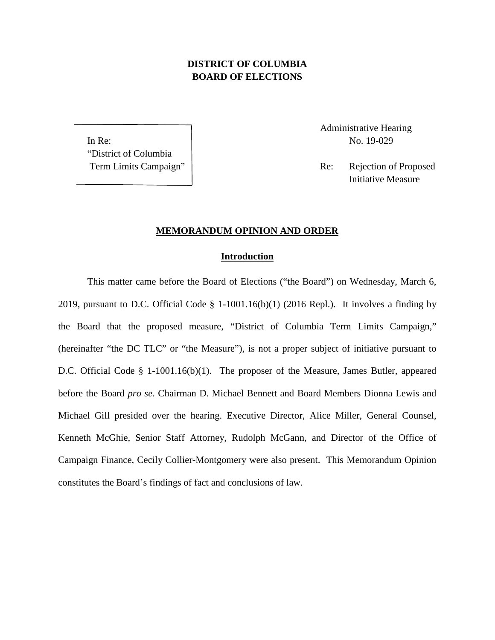# **DISTRICT OF COLUMBIA BOARD OF ELECTIONS**

In Re: No. 19-029 "District of Columbia

Administrative Hearing

Term Limits Campaign" | Re: Rejection of Proposed Initiative Measure

### **MEMORANDUM OPINION AND ORDER**

#### **Introduction**

This matter came before the Board of Elections ("the Board") on Wednesday, March 6, 2019, pursuant to D.C. Official Code § 1-1001.16(b)(1) (2016 Repl.). It involves a finding by the Board that the proposed measure, "District of Columbia Term Limits Campaign," (hereinafter "the DC TLC" or "the Measure"), is not a proper subject of initiative pursuant to D.C. Official Code § 1-1001.16(b)(1). The proposer of the Measure, James Butler, appeared before the Board *pro se*. Chairman D. Michael Bennett and Board Members Dionna Lewis and Michael Gill presided over the hearing. Executive Director, Alice Miller, General Counsel, Kenneth McGhie, Senior Staff Attorney, Rudolph McGann, and Director of the Office of Campaign Finance, Cecily Collier-Montgomery were also present. This Memorandum Opinion constitutes the Board's findings of fact and conclusions of law.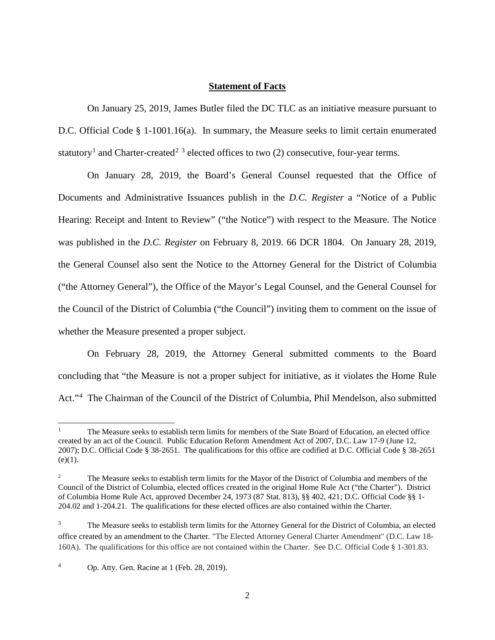## **Statement of Facts**

On January 25, 2019, James Butler filed the DC TLC as an initiative measure pursuant to D.C. Official Code § 1-1001.16(a). In summary, the Measure seeks to limit certain enumerated statutory<sup>[1](#page-1-0)</sup> and Charter-created<sup>[2](#page-1-1)</sup><sup>[3](#page-1-2)</sup> elected offices to two (2) consecutive, four-year terms.

On January 28, 2019, the Board's General Counsel requested that the Office of Documents and Administrative Issuances publish in the *D.C. Register* a "Notice of a Public Hearing: Receipt and Intent to Review" ("the Notice") with respect to the Measure. The Notice was published in the *D.C. Register* on February 8, 2019. 66 DCR 1804. On January 28, 2019, the General Counsel also sent the Notice to the Attorney General for the District of Columbia ("the Attorney General"), the Office of the Mayor's Legal Counsel, and the General Counsel for the Council of the District of Columbia ("the Council") inviting them to comment on the issue of whether the Measure presented a proper subject.

On February 28, 2019, the Attorney General submitted comments to the Board concluding that "the Measure is not a proper subject for initiative, as it violates the Home Rule Act."[4](#page-1-3) The Chairman of the Council of the District of Columbia, Phil Mendelson, also submitted

<span id="page-1-0"></span> $\ddot{\phantom{a}}$ <sup>1</sup> The Measure seeks to establish term limits for members of the State Board of Education, an elected office created by an act of the Council. Public Education Reform Amendment Act of 2007, D.C. Law 17-9 (June 12, 2007); D.C. Official Code § 38-2651. The qualifications for this office are codified at D.C. Official Code § 38-2651  $(e)(1)$ .

<span id="page-1-1"></span><sup>&</sup>lt;sup>2</sup> The Measure seeks to establish term limits for the Mayor of the District of Columbia and members of the Council of the District of Columbia, elected offices created in the original Home Rule Act ("the Charter"). District of Columbia Home Rule Act, approved December 24, 1973 (87 Stat. 813), §§ 402, 421; D.C. Official Code §§ 1- 204.02 and 1-204.21. The qualifications for these elected offices are also contained within the Charter.

<span id="page-1-2"></span><sup>3</sup> The Measure seeks to establish term limits for the Attorney General for the District of Columbia, an elected office created by an amendment to the Charter. "The Elected Attorney General Charter Amendment" (D.C. Law 18- 160A). The qualifications for this office are not contained within the Charter. See D.C. Official Code § 1-301.83.

<span id="page-1-3"></span><sup>4</sup> Op. Atty. Gen. Racine at 1 (Feb. 28, 2019).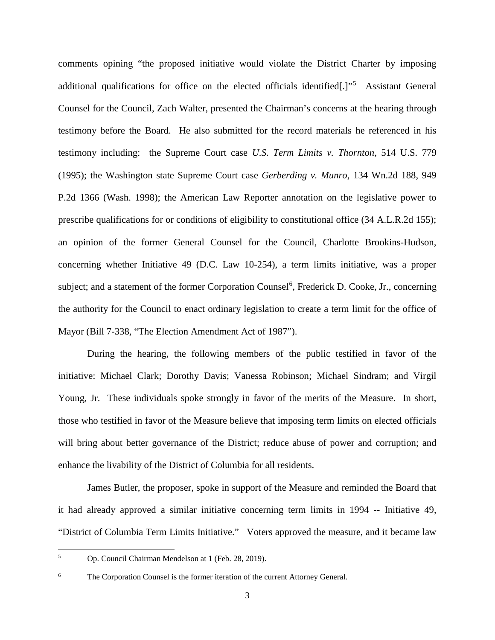comments opining "the proposed initiative would violate the District Charter by imposing additional qualifications for office on the elected officials identified[.]"<sup>[5](#page-2-0)</sup> Assistant General Counsel for the Council, Zach Walter, presented the Chairman's concerns at the hearing through testimony before the Board. He also submitted for the record materials he referenced in his testimony including: the Supreme Court case *U.S. Term Limits v. Thornton*, 514 U.S. 779 (1995); the Washington state Supreme Court case *Gerberding v. Munro*, 134 Wn.2d 188, 949 P.2d 1366 (Wash. 1998); the American Law Reporter annotation on the legislative power to prescribe qualifications for or conditions of eligibility to constitutional office (34 A.L.R.2d 155); an opinion of the former General Counsel for the Council, Charlotte Brookins-Hudson, concerning whether Initiative 49 (D.C. Law 10-254), a term limits initiative, was a proper subject; and a statement of the former Corporation Counsel<sup>[6](#page-2-1)</sup>, Frederick D. Cooke, Jr., concerning the authority for the Council to enact ordinary legislation to create a term limit for the office of Mayor (Bill 7-338, "The Election Amendment Act of 1987").

During the hearing, the following members of the public testified in favor of the initiative: Michael Clark; Dorothy Davis; Vanessa Robinson; Michael Sindram; and Virgil Young, Jr. These individuals spoke strongly in favor of the merits of the Measure. In short, those who testified in favor of the Measure believe that imposing term limits on elected officials will bring about better governance of the District; reduce abuse of power and corruption; and enhance the livability of the District of Columbia for all residents.

James Butler, the proposer, spoke in support of the Measure and reminded the Board that it had already approved a similar initiative concerning term limits in 1994 -- Initiative 49, "District of Columbia Term Limits Initiative." Voters approved the measure, and it became law

<span id="page-2-0"></span> $\overline{5}$ <sup>5</sup> Op. Council Chairman Mendelson at 1 (Feb. 28, 2019).

<span id="page-2-1"></span>

<sup>&</sup>lt;sup>6</sup> The Corporation Counsel is the former iteration of the current Attorney General.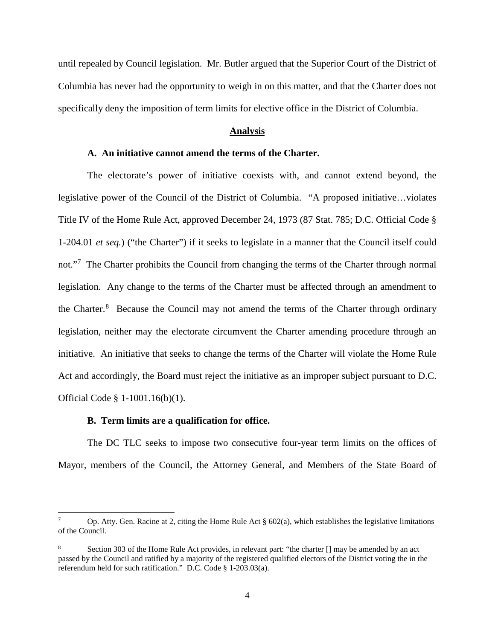until repealed by Council legislation. Mr. Butler argued that the Superior Court of the District of Columbia has never had the opportunity to weigh in on this matter, and that the Charter does not specifically deny the imposition of term limits for elective office in the District of Columbia.

#### **Analysis**

## **A. An initiative cannot amend the terms of the Charter.**

The electorate's power of initiative coexists with, and cannot extend beyond, the legislative power of the Council of the District of Columbia. "A proposed initiative…violates Title IV of the Home Rule Act, approved December 24, 1973 (87 Stat. 785; D.C. Official Code § 1-204.01 *et seq.*) ("the Charter") if it seeks to legislate in a manner that the Council itself could not."<sup>[7](#page-3-0)</sup> The Charter prohibits the Council from changing the terms of the Charter through normal legislation. Any change to the terms of the Charter must be affected through an amendment to the Charter.<sup>[8](#page-3-1)</sup> Because the Council may not amend the terms of the Charter through ordinary legislation, neither may the electorate circumvent the Charter amending procedure through an initiative. An initiative that seeks to change the terms of the Charter will violate the Home Rule Act and accordingly, the Board must reject the initiative as an improper subject pursuant to D.C. Official Code § 1-1001.16(b)(1).

### **B. Term limits are a qualification for office.**

 $\ddot{\phantom{a}}$ 

The DC TLC seeks to impose two consecutive four-year term limits on the offices of Mayor, members of the Council, the Attorney General, and Members of the State Board of

<span id="page-3-0"></span>Op. Atty. Gen. Racine at 2, citing the Home Rule Act  $\S$  602(a), which establishes the legislative limitations of the Council.

<span id="page-3-1"></span><sup>8</sup> Section 303 of the Home Rule Act provides, in relevant part: "the charter [] may be amended by an act passed by the Council and ratified by a majority of the registered qualified electors of the District voting the in the referendum held for such ratification." D.C. Code § 1-203.03(a).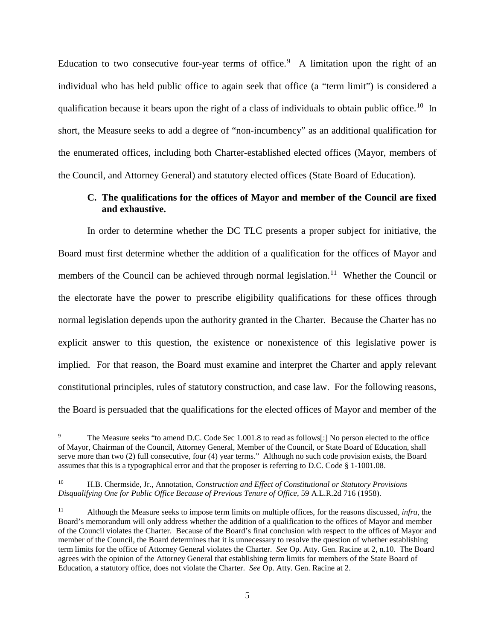Education to two consecutive four-year terms of office.<sup>[9](#page-4-0)</sup> A limitation upon the right of an individual who has held public office to again seek that office (a "term limit") is considered a qualification because it bears upon the right of a class of individuals to obtain public office.<sup>10</sup> In short, the Measure seeks to add a degree of "non-incumbency" as an additional qualification for the enumerated offices, including both Charter-established elected offices (Mayor, members of the Council, and Attorney General) and statutory elected offices (State Board of Education).

## **C. The qualifications for the offices of Mayor and member of the Council are fixed and exhaustive.**

In order to determine whether the DC TLC presents a proper subject for initiative, the Board must first determine whether the addition of a qualification for the offices of Mayor and members of the Council can be achieved through normal legislation.<sup>11</sup> Whether the Council or the electorate have the power to prescribe eligibility qualifications for these offices through normal legislation depends upon the authority granted in the Charter. Because the Charter has no explicit answer to this question, the existence or nonexistence of this legislative power is implied. For that reason, the Board must examine and interpret the Charter and apply relevant constitutional principles, rules of statutory construction, and case law. For the following reasons, the Board is persuaded that the qualifications for the elected offices of Mayor and member of the

 $\overline{a}$ 

<span id="page-4-0"></span>The Measure seeks "to amend D.C. Code Sec 1.001.8 to read as follows[:] No person elected to the office of Mayor, Chairman of the Council, Attorney General, Member of the Council, or State Board of Education, shall serve more than two (2) full consecutive, four (4) year terms." Although no such code provision exists, the Board assumes that this is a typographical error and that the proposer is referring to D.C. Code § 1-1001.08.

<span id="page-4-1"></span><sup>10</sup> H.B. Chermside, Jr., Annotation, *Construction and Effect of Constitutional or Statutory Provisions Disqualifying One for Public Office Because of Previous Tenure of Office*, 59 A.L.R.2d 716 (1958).

<span id="page-4-2"></span><sup>11</sup> Although the Measure seeks to impose term limits on multiple offices, for the reasons discussed, *infra*, the Board's memorandum will only address whether the addition of a qualification to the offices of Mayor and member of the Council violates the Charter. Because of the Board's final conclusion with respect to the offices of Mayor and member of the Council, the Board determines that it is unnecessary to resolve the question of whether establishing term limits for the office of Attorney General violates the Charter. *See* Op. Atty. Gen. Racine at 2, n.10. The Board agrees with the opinion of the Attorney General that establishing term limits for members of the State Board of Education, a statutory office, does not violate the Charter. *See* Op. Atty. Gen. Racine at 2.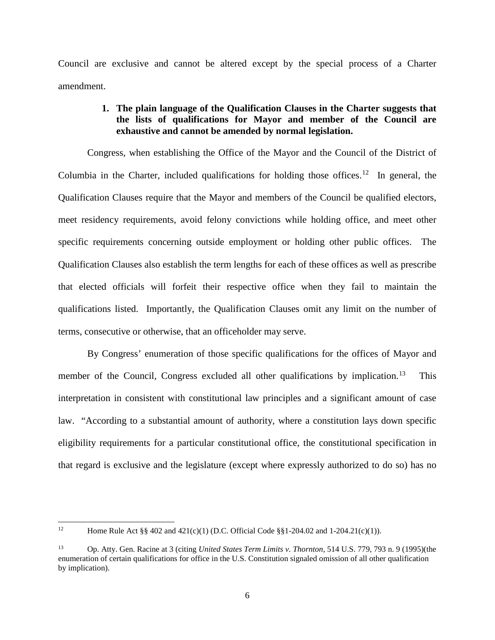Council are exclusive and cannot be altered except by the special process of a Charter amendment.

# **1. The plain language of the Qualification Clauses in the Charter suggests that the lists of qualifications for Mayor and member of the Council are exhaustive and cannot be amended by normal legislation.**

Congress, when establishing the Office of the Mayor and the Council of the District of Columbia in the Charter, included qualifications for holding those offices.<sup>[12](#page-5-0)</sup> In general, the Qualification Clauses require that the Mayor and members of the Council be qualified electors, meet residency requirements, avoid felony convictions while holding office, and meet other specific requirements concerning outside employment or holding other public offices. The Qualification Clauses also establish the term lengths for each of these offices as well as prescribe that elected officials will forfeit their respective office when they fail to maintain the qualifications listed. Importantly, the Qualification Clauses omit any limit on the number of terms, consecutive or otherwise, that an officeholder may serve.

By Congress' enumeration of those specific qualifications for the offices of Mayor and member of the Council, Congress excluded all other qualifications by implication.<sup>13</sup> This interpretation in consistent with constitutional law principles and a significant amount of case law. "According to a substantial amount of authority, where a constitution lays down specific eligibility requirements for a particular constitutional office, the constitutional specification in that regard is exclusive and the legislature (except where expressly authorized to do so) has no

<span id="page-5-0"></span> $12<sup>12</sup>$ Home Rule Act  $\S$ § 402 and 421(c)(1) (D.C. Official Code  $\S$ §1-204.02 and 1-204.21(c)(1)).

<span id="page-5-1"></span><sup>13</sup> Op. Atty. Gen. Racine at 3 (citing *United States Term Limits v. Thornton*, 514 U.S. 779, 793 n. 9 (1995)(the enumeration of certain qualifications for office in the U.S. Constitution signaled omission of all other qualification by implication).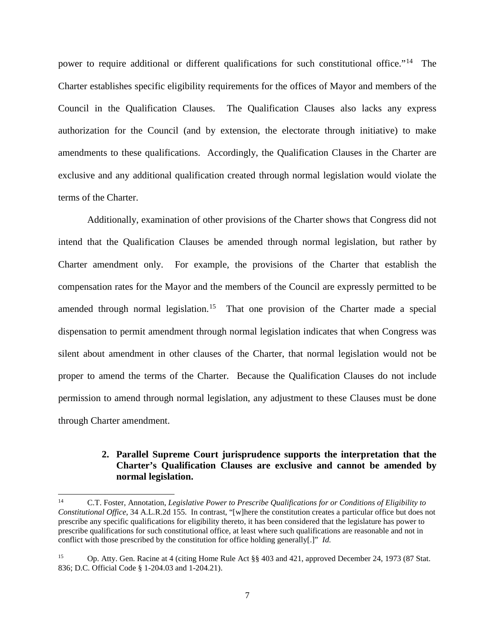power to require additional or different qualifications for such constitutional office."<sup>14</sup> The Charter establishes specific eligibility requirements for the offices of Mayor and members of the Council in the Qualification Clauses. The Qualification Clauses also lacks any express authorization for the Council (and by extension, the electorate through initiative) to make amendments to these qualifications. Accordingly, the Qualification Clauses in the Charter are exclusive and any additional qualification created through normal legislation would violate the terms of the Charter.

Additionally, examination of other provisions of the Charter shows that Congress did not intend that the Qualification Clauses be amended through normal legislation, but rather by Charter amendment only. For example, the provisions of the Charter that establish the compensation rates for the Mayor and the members of the Council are expressly permitted to be amended through normal legislation.<sup>[15](#page-6-1)</sup> That one provision of the Charter made a special dispensation to permit amendment through normal legislation indicates that when Congress was silent about amendment in other clauses of the Charter, that normal legislation would not be proper to amend the terms of the Charter. Because the Qualification Clauses do not include permission to amend through normal legislation, any adjustment to these Clauses must be done through Charter amendment.

## **2. Parallel Supreme Court jurisprudence supports the interpretation that the Charter's Qualification Clauses are exclusive and cannot be amended by normal legislation.**

<span id="page-6-0"></span> $14$ <sup>14</sup> C.T. Foster, Annotation, *Legislative Power to Prescribe Qualifications for or Conditions of Eligibility to Constitutional Office*, 34 A.L.R.2d 155. In contrast, "[w]here the constitution creates a particular office but does not prescribe any specific qualifications for eligibility thereto, it has been considered that the legislature has power to prescribe qualifications for such constitutional office, at least where such qualifications are reasonable and not in conflict with those prescribed by the constitution for office holding generally[.]" *Id.*

<span id="page-6-1"></span><sup>15</sup> Op. Atty. Gen. Racine at 4 (citing Home Rule Act §§ 403 and 421, approved December 24, 1973 (87 Stat. 836; D.C. Official Code § 1-204.03 and 1-204.21).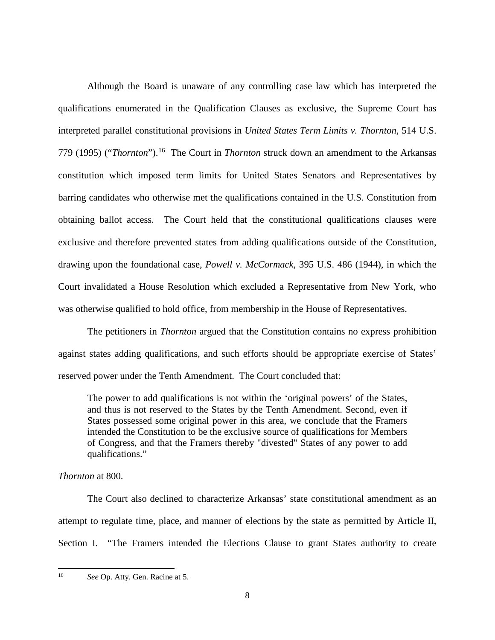Although the Board is unaware of any controlling case law which has interpreted the qualifications enumerated in the Qualification Clauses as exclusive, the Supreme Court has interpreted parallel constitutional provisions in *United States Term Limits v. Thornton*, 514 U.S. 779 (1995) ("*Thornton*").<sup>[16](#page-7-0)</sup> The Court in *Thornton* struck down an amendment to the Arkansas constitution which imposed term limits for United States Senators and Representatives by barring candidates who otherwise met the qualifications contained in the U.S. Constitution from obtaining ballot access. The Court held that the constitutional qualifications clauses were exclusive and therefore prevented states from adding qualifications outside of the Constitution, drawing upon the foundational case, *Powell v. McCormack*, 395 U.S. 486 (1944), in which the Court invalidated a House Resolution which excluded a Representative from New York, who was otherwise qualified to hold office, from membership in the House of Representatives.

The petitioners in *Thornton* argued that the Constitution contains no express prohibition against states adding qualifications, and such efforts should be appropriate exercise of States' reserved power under the Tenth Amendment. The Court concluded that:

The power to add qualifications is not within the 'original powers' of the States, and thus is not reserved to the States by the Tenth Amendment. Second, even if States possessed some original power in this area, we conclude that the Framers intended the Constitution to be the exclusive source of qualifications for Members of Congress, and that the Framers thereby "divested" States of any power to add qualifications."

## *Thornton* at 800.

The Court also declined to characterize Arkansas' state constitutional amendment as an attempt to regulate time, place, and manner of elections by the state as permitted by Article II, Section I. "The Framers intended the Elections Clause to grant States authority to create

<span id="page-7-0"></span><sup>16</sup> See Op. Atty. Gen. Racine at 5.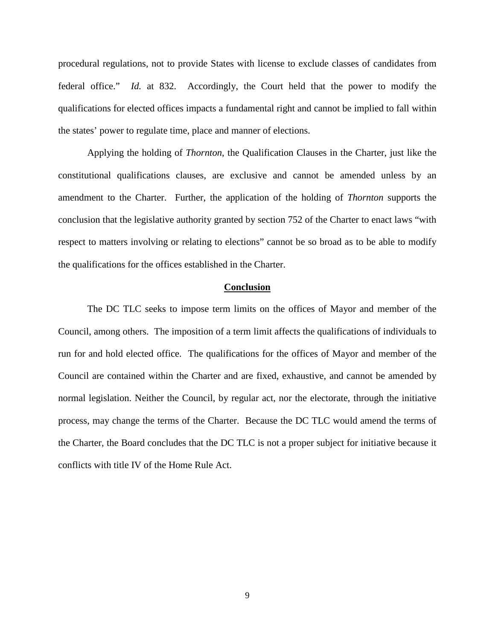procedural regulations, not to provide States with license to exclude classes of candidates from federal office." *Id.* at 832. Accordingly, the Court held that the power to modify the qualifications for elected offices impacts a fundamental right and cannot be implied to fall within the states' power to regulate time, place and manner of elections.

Applying the holding of *Thornton*, the Qualification Clauses in the Charter, just like the constitutional qualifications clauses, are exclusive and cannot be amended unless by an amendment to the Charter. Further, the application of the holding of *Thornton* supports the conclusion that the legislative authority granted by section 752 of the Charter to enact laws "with respect to matters involving or relating to elections" cannot be so broad as to be able to modify the qualifications for the offices established in the Charter.

#### **Conclusion**

The DC TLC seeks to impose term limits on the offices of Mayor and member of the Council, among others. The imposition of a term limit affects the qualifications of individuals to run for and hold elected office. The qualifications for the offices of Mayor and member of the Council are contained within the Charter and are fixed, exhaustive, and cannot be amended by normal legislation. Neither the Council, by regular act, nor the electorate, through the initiative process, may change the terms of the Charter. Because the DC TLC would amend the terms of the Charter, the Board concludes that the DC TLC is not a proper subject for initiative because it conflicts with title IV of the Home Rule Act.